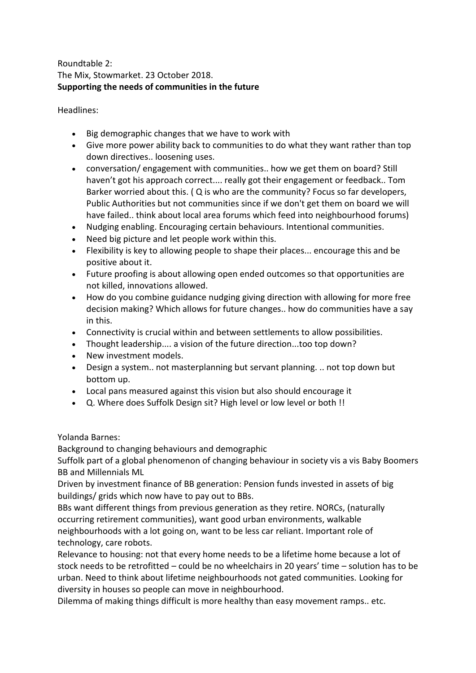# Roundtable 2: The Mix, Stowmarket. 23 October 2018. **Supporting the needs of communities in the future**

Headlines:

- Big demographic changes that we have to work with
- Give more power ability back to communities to do what they want rather than top down directives.. loosening uses.
- conversation/ engagement with communities.. how we get them on board? Still haven't got his approach correct.... really got their engagement or feedback.. Tom Barker worried about this. ( Q is who are the community? Focus so far developers, Public Authorities but not communities since if we don't get them on board we will have failed.. think about local area forums which feed into neighbourhood forums)
- Nudging enabling. Encouraging certain behaviours. Intentional communities.
- Need big picture and let people work within this.
- Flexibility is key to allowing people to shape their places... encourage this and be positive about it.
- Future proofing is about allowing open ended outcomes so that opportunities are not killed, innovations allowed.
- How do you combine guidance nudging giving direction with allowing for more free decision making? Which allows for future changes.. how do communities have a say in this.
- Connectivity is crucial within and between settlements to allow possibilities.
- Thought leadership.... a vision of the future direction...too top down?
- New investment models.
- Design a system.. not masterplanning but servant planning. .. not top down but bottom up.
- Local pans measured against this vision but also should encourage it
- Q. Where does Suffolk Design sit? High level or low level or both !!

Yolanda Barnes:

Background to changing behaviours and demographic

Suffolk part of a global phenomenon of changing behaviour in society vis a vis Baby Boomers BB and Millennials ML

Driven by investment finance of BB generation: Pension funds invested in assets of big buildings/ grids which now have to pay out to BBs.

BBs want different things from previous generation as they retire. NORCs, (naturally occurring retirement communities), want good urban environments, walkable neighbourhoods with a lot going on, want to be less car reliant. Important role of technology, care robots.

Relevance to housing: not that every home needs to be a lifetime home because a lot of stock needs to be retrofitted – could be no wheelchairs in 20 years' time – solution has to be urban. Need to think about lifetime neighbourhoods not gated communities. Looking for diversity in houses so people can move in neighbourhood.

Dilemma of making things difficult is more healthy than easy movement ramps.. etc.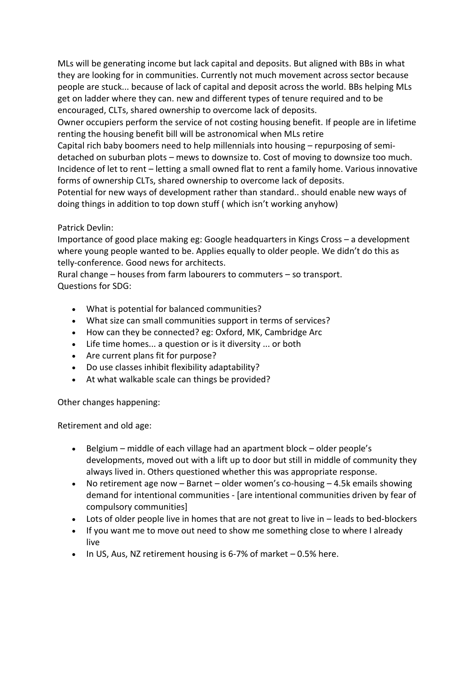MLs will be generating income but lack capital and deposits. But aligned with BBs in what they are looking for in communities. Currently not much movement across sector because people are stuck... because of lack of capital and deposit across the world. BBs helping MLs get on ladder where they can. new and different types of tenure required and to be encouraged, CLTs, shared ownership to overcome lack of deposits.

Owner occupiers perform the service of not costing housing benefit. If people are in lifetime renting the housing benefit bill will be astronomical when MLs retire

Capital rich baby boomers need to help millennials into housing – repurposing of semidetached on suburban plots – mews to downsize to. Cost of moving to downsize too much. Incidence of let to rent – letting a small owned flat to rent a family home. Various innovative forms of ownership CLTs, shared ownership to overcome lack of deposits.

Potential for new ways of development rather than standard.. should enable new ways of doing things in addition to top down stuff ( which isn't working anyhow)

## Patrick Devlin:

Importance of good place making eg: Google headquarters in Kings Cross – a development where young people wanted to be. Applies equally to older people. We didn't do this as telly-conference. Good news for architects.

Rural change – houses from farm labourers to commuters – so transport. Questions for SDG:

- What is potential for balanced communities?
- What size can small communities support in terms of services?
- How can they be connected? eg: Oxford, MK, Cambridge Arc
- Life time homes... a question or is it diversity ... or both
- Are current plans fit for purpose?
- Do use classes inhibit flexibility adaptability?
- At what walkable scale can things be provided?

Other changes happening:

Retirement and old age:

- Belgium middle of each village had an apartment block older people's developments, moved out with a lift up to door but still in middle of community they always lived in. Others questioned whether this was appropriate response.
- No retirement age now Barnet older women's co-housing 4.5k emails showing demand for intentional communities - [are intentional communities driven by fear of compulsory communities]
- Lots of older people live in homes that are not great to live in leads to bed-blockers
- If you want me to move out need to show me something close to where I already live
- $\bullet$  In US, Aus, NZ retirement housing is 6-7% of market  $-0.5%$  here.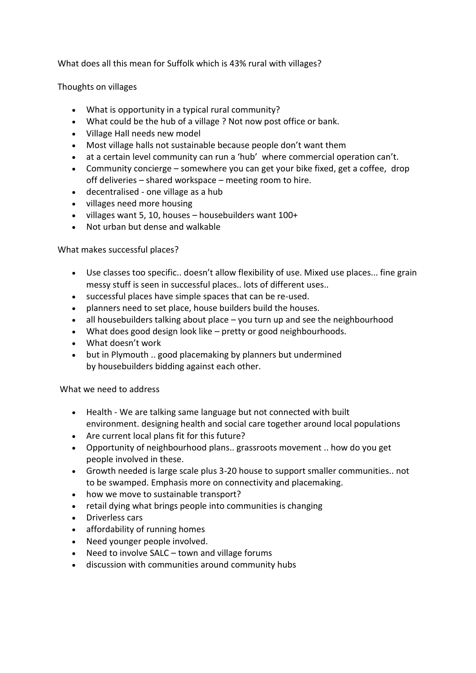What does all this mean for Suffolk which is 43% rural with villages?

Thoughts on villages

- What is opportunity in a typical rural community?
- What could be the hub of a village ? Not now post office or bank.
- Village Hall needs new model
- Most village halls not sustainable because people don't want them
- at a certain level community can run a 'hub' where commercial operation can't.
- Community concierge somewhere you can get your bike fixed, get a coffee, drop off deliveries – shared workspace – meeting room to hire.
- decentralised one village as a hub
- villages need more housing
- villages want 5, 10, houses housebuilders want 100+
- Not urban but dense and walkable

What makes successful places?

- Use classes too specific.. doesn't allow flexibility of use. Mixed use places... fine grain messy stuff is seen in successful places.. lots of different uses..
- successful places have simple spaces that can be re-used.
- planners need to set place, house builders build the houses.
- all housebuilders talking about place you turn up and see the neighbourhood
- What does good design look like pretty or good neighbourhoods.
- What doesn't work
- but in Plymouth .. good placemaking by planners but undermined by housebuilders bidding against each other.

What we need to address

- Health We are talking same language but not connected with built environment. designing health and social care together around local populations
- Are current local plans fit for this future?
- Opportunity of neighbourhood plans.. grassroots movement .. how do you get people involved in these.
- Growth needed is large scale plus 3-20 house to support smaller communities.. not to be swamped. Emphasis more on connectivity and placemaking.
- how we move to sustainable transport?
- retail dying what brings people into communities is changing
- Driverless cars
- affordability of running homes
- Need younger people involved.
- Need to involve SALC town and village forums
- discussion with communities around community hubs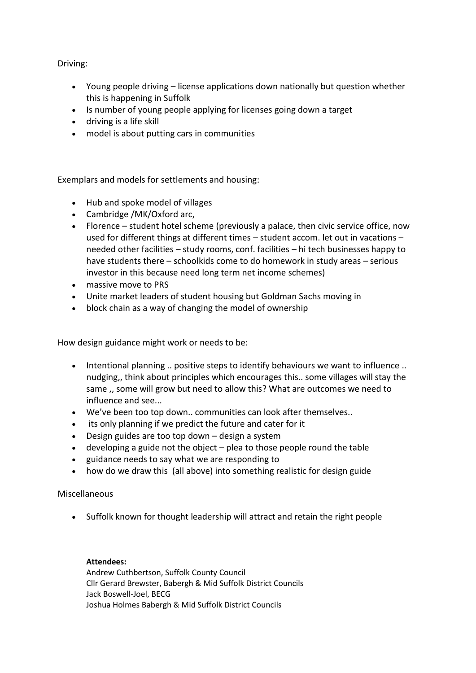Driving:

- Young people driving license applications down nationally but question whether this is happening in Suffolk
- Is number of young people applying for licenses going down a target
- driving is a life skill
- model is about putting cars in communities

Exemplars and models for settlements and housing:

- Hub and spoke model of villages
- Cambridge /MK/Oxford arc,
- Florence student hotel scheme (previously a palace, then civic service office, now used for different things at different times – student accom. let out in vacations – needed other facilities – study rooms, conf. facilities – hi tech businesses happy to have students there – schoolkids come to do homework in study areas – serious investor in this because need long term net income schemes)
- massive move to PRS
- Unite market leaders of student housing but Goldman Sachs moving in
- block chain as a way of changing the model of ownership

How design guidance might work or needs to be:

- Intentional planning .. positive steps to identify behaviours we want to influence .. nudging,, think about principles which encourages this.. some villages will stay the same ,, some will grow but need to allow this? What are outcomes we need to influence and see...
- We've been too top down.. communities can look after themselves..
- its only planning if we predict the future and cater for it
- Design guides are too top down design a system
- developing a guide not the object plea to those people round the table
- guidance needs to say what we are responding to
- how do we draw this (all above) into something realistic for design guide

### Miscellaneous

• Suffolk known for thought leadership will attract and retain the right people

### **Attendees:**

Andrew Cuthbertson, Suffolk County Council Cllr Gerard Brewster, Babergh & Mid Suffolk District Councils Jack Boswell-Joel, BECG Joshua Holmes Babergh & Mid Suffolk District Councils